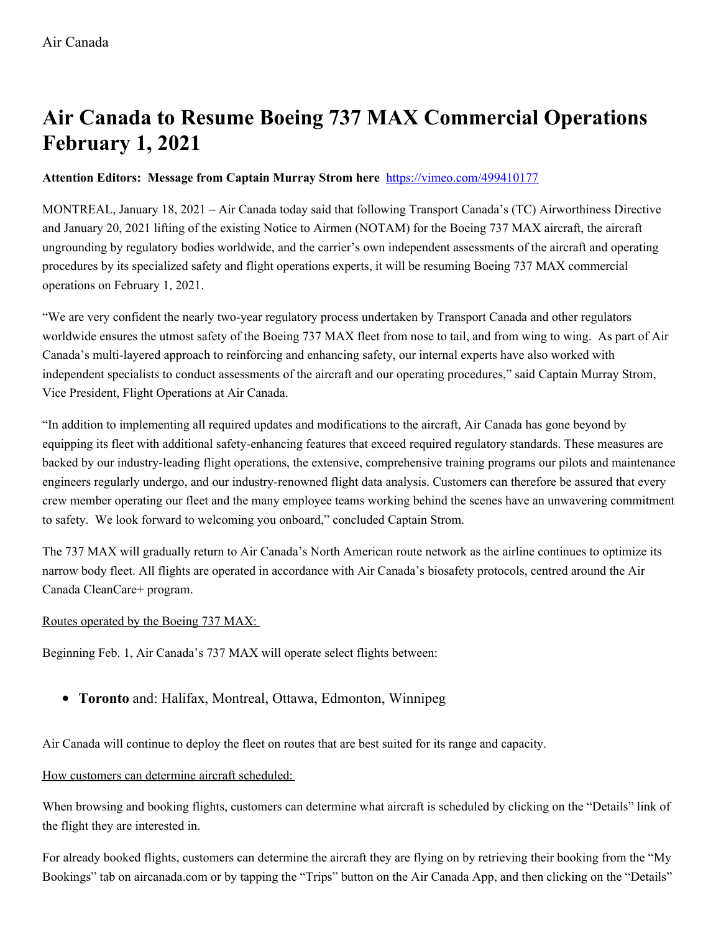# **Air Canada to Resume Boeing 737 MAX Commercial Operations February 1, 2021**

## **Attention Editors: Message from Captain Murray Strom here** <https://vimeo.com/499410177>

MONTREAL, January 18, 2021 – Air Canada today said that following Transport Canada's (TC) Airworthiness Directive and January 20, 2021 lifting of the existing Notice to Airmen (NOTAM) for the Boeing 737 MAX aircraft, the aircraft ungrounding by regulatory bodies worldwide, and the carrier's own independent assessments of the aircraft and operating procedures by its specialized safety and flight operations experts, it will be resuming Boeing 737 MAX commercial operations on February 1, 2021.

"We are very confident the nearly two-year regulatory process undertaken by Transport Canada and other regulators worldwide ensures the utmost safety of the Boeing 737 MAX fleet from nose to tail, and from wing to wing. As part of Air Canada's multi-layered approach to reinforcing and enhancing safety, our internal experts have also worked with independent specialists to conduct assessments of the aircraft and our operating procedures," said Captain Murray Strom, Vice President, Flight Operations at Air Canada.

"In addition to implementing all required updates and modifications to the aircraft, Air Canada has gone beyond by equipping its fleet with additional safety-enhancing features that exceed required regulatory standards. These measures are backed by our industry-leading flight operations, the extensive, comprehensive training programs our pilots and maintenance engineers regularly undergo, and our industry-renowned flight data analysis. Customers can therefore be assured that every crew member operating our fleet and the many employee teams working behind the scenes have an unwavering commitment to safety. We look forward to welcoming you onboard," concluded Captain Strom.

The 737 MAX will gradually return to Air Canada's North American route network as the airline continues to optimize its narrow body fleet. All flights are operated in accordance with Air Canada's biosafety protocols, centred around the Air Canada CleanCare+ program.

#### Routes operated by the Boeing 737 MAX:

Beginning Feb. 1, Air Canada's 737 MAX will operate select flights between:

**Toronto** and: Halifax, Montreal, Ottawa, Edmonton, Winnipeg

Air Canada will continue to deploy the fleet on routes that are best suited for its range and capacity.

#### How customers can determine aircraft scheduled:

When browsing and booking flights, customers can determine what aircraft is scheduled by clicking on the "Details" link of the flight they are interested in.

For already booked flights, customers can determine the aircraft they are flying on by retrieving their booking from the "My Bookings" tab on aircanada.com or by tapping the "Trips" button on the Air Canada App, and then clicking on the "Details"